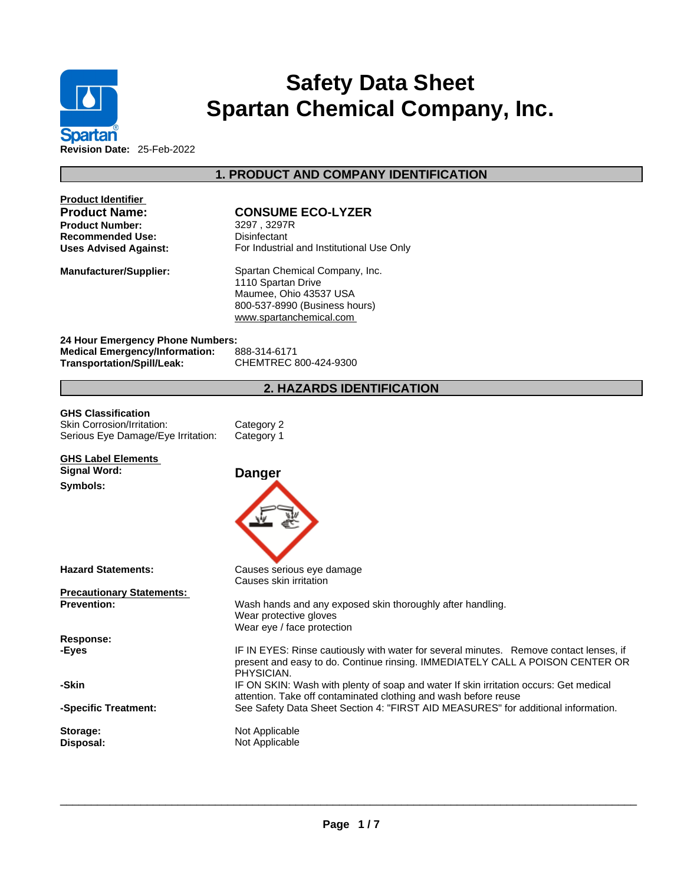

# **Safety Data Sheet Spartan Chemical Company, Inc.**

**1. PRODUCT AND COMPANY IDENTIFICATION** 

| <b>Product Identifier</b><br><b>Product Name:</b><br><b>Product Number:</b><br>Recommended Use:<br><b>Uses Advised Against:</b> | <b>CONSUME ECO-LYZER</b><br>3297, 3297R<br>Disinfectant<br>For Industrial and Institutional Use Only                                                                                  |
|---------------------------------------------------------------------------------------------------------------------------------|---------------------------------------------------------------------------------------------------------------------------------------------------------------------------------------|
| Manufacturer/Supplier:                                                                                                          | Spartan Chemical Company, Inc.<br>1110 Spartan Drive<br>Maumee, Ohio 43537 USA<br>800-537-8990 (Business hours)<br>www.spartanchemical.com                                            |
| 24 Hour Emergency Phone Numbers:<br><b>Medical Emergency/Information:</b><br>Transportation/Spill/Leak:                         | 888-314-6171<br>CHEMTREC 800-424-9300                                                                                                                                                 |
|                                                                                                                                 | <b>2. HAZARDS IDENTIFICATION</b>                                                                                                                                                      |
| <b>GHS Classification</b><br>Skin Corrosion/Irritation:<br>Serious Eye Damage/Eye Irritation:                                   | Category 2<br>Category 1                                                                                                                                                              |
| <b>GHS Label Elements</b><br><b>Signal Word:</b><br>Symbols:                                                                    | <b>Danger</b>                                                                                                                                                                         |
| Hazard Statements:                                                                                                              | Causes serious eye damage                                                                                                                                                             |
|                                                                                                                                 | Causes skin irritation                                                                                                                                                                |
| <b>Precautionary Statements:</b><br><b>Prevention:</b>                                                                          | Wash hands and any exposed skin thoroughly after handling.<br>Wear protective gloves<br>Wear eye / face protection                                                                    |
| <b>Response:</b>                                                                                                                |                                                                                                                                                                                       |
| -Eves                                                                                                                           | IF IN EYES: Rinse cautiously with water for several minutes. Remove contact lenses, if<br>present and easy to do. Continue rinsing. IMMEDIATELY CALL A POISON CENTER OR<br>PHYSICIAN. |
| -Skin                                                                                                                           | IF ON SKIN: Wash with plenty of soap and water If skin irritation occurs: Get medical<br>attention. Take off contaminated clothing and wash before reuse                              |
| -Specific Treatment:                                                                                                            | See Safety Data Sheet Section 4: "FIRST AID MEASURES" for additional information.                                                                                                     |
| Storage:<br>Disposal:                                                                                                           | Not Applicable<br>Not Applicable                                                                                                                                                      |
|                                                                                                                                 |                                                                                                                                                                                       |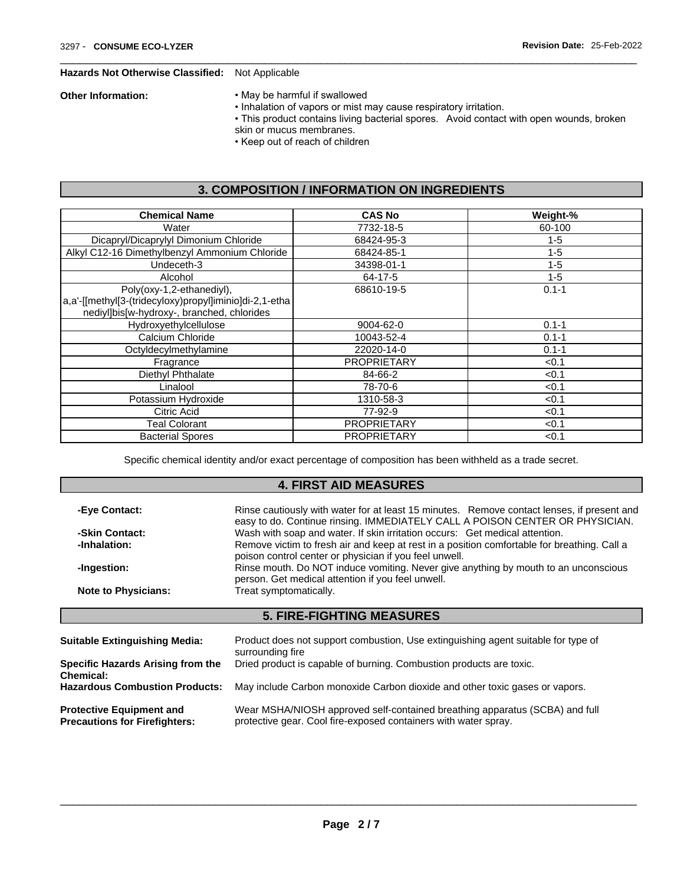#### **Hazards Not Otherwise Classified:** Not Applicable

- **Other Information:** May be harmful if swallowed
	- Inhalation of vapors or mist may cause respiratory irritation.
	- This product contains living bacterial spores. Avoid contact with open wounds, broken
	- skin or mucus membranes.
	- Keep out of reach of children

## **3. COMPOSITION / INFORMATION ON INGREDIENTS**

| <b>Chemical Name</b>                                                                                                              | <b>CAS No</b>      | Weight-%  |
|-----------------------------------------------------------------------------------------------------------------------------------|--------------------|-----------|
| Water                                                                                                                             | 7732-18-5          | 60-100    |
| Dicapryl/Dicaprylyl Dimonium Chloride                                                                                             | 68424-95-3         | $1 - 5$   |
| Alkyl C12-16 Dimethylbenzyl Ammonium Chloride                                                                                     | 68424-85-1         | $1 - 5$   |
| Undeceth-3                                                                                                                        | 34398-01-1         | $1 - 5$   |
| Alcohol                                                                                                                           | 64-17-5            | $1 - 5$   |
| Poly(oxy-1,2-ethanediyl),<br>a,a'-[[methyl[3-(tridecyloxy)propyl]iminio]di-2,1-etha<br>nediyl]bis[w-hydroxy-, branched, chlorides | 68610-19-5         | $0.1 - 1$ |
| Hydroxyethylcellulose                                                                                                             | 9004-62-0          | $0.1 - 1$ |
| Calcium Chloride                                                                                                                  | 10043-52-4         | $0.1 - 1$ |
| Octyldecylmethylamine                                                                                                             | 22020-14-0         | $0.1 - 1$ |
| Fragrance                                                                                                                         | <b>PROPRIETARY</b> | < 0.1     |
| Diethyl Phthalate                                                                                                                 | 84-66-2            | < 0.1     |
| Linalool                                                                                                                          | 78-70-6            | < 0.1     |
| Potassium Hydroxide                                                                                                               | 1310-58-3          | < 0.1     |
| Citric Acid                                                                                                                       | 77-92-9            | < 0.1     |
| Teal Colorant                                                                                                                     | <b>PROPRIETARY</b> | < 0.1     |
| <b>Bacterial Spores</b>                                                                                                           | <b>PROPRIETARY</b> | < 0.1     |

Specific chemical identity and/or exact percentage of composition has been withheld as a trade secret.

# **4. FIRST AID MEASURES**

| -Eye Contact:                                                           | Rinse cautiously with water for at least 15 minutes. Remove contact lenses, if present and<br>easy to do. Continue rinsing. IMMEDIATELY CALL A POISON CENTER OR PHYSICIAN. |
|-------------------------------------------------------------------------|----------------------------------------------------------------------------------------------------------------------------------------------------------------------------|
| -Skin Contact:                                                          | Wash with soap and water. If skin irritation occurs: Get medical attention.                                                                                                |
| -Inhalation:                                                            | Remove victim to fresh air and keep at rest in a position comfortable for breathing. Call a<br>poison control center or physician if you feel unwell.                      |
| -Ingestion:                                                             | Rinse mouth. Do NOT induce vomiting. Never give anything by mouth to an unconscious<br>person. Get medical attention if you feel unwell.                                   |
| <b>Note to Physicians:</b>                                              | Treat symptomatically.                                                                                                                                                     |
|                                                                         | <b>5. FIRE-FIGHTING MEASURES</b>                                                                                                                                           |
|                                                                         |                                                                                                                                                                            |
| <b>Suitable Extinguishing Media:</b>                                    | Product does not support combustion, Use extinguishing agent suitable for type of<br>surrounding fire                                                                      |
| Specific Hazards Arising from the<br>Chemical:                          | Dried product is capable of burning. Combustion products are toxic.                                                                                                        |
| <b>Hazardous Combustion Products:</b>                                   | May include Carbon monoxide Carbon dioxide and other toxic gases or vapors.                                                                                                |
| <b>Protective Equipment and</b><br><b>Precautions for Firefighters:</b> | Wear MSHA/NIOSH approved self-contained breathing apparatus (SCBA) and full<br>protective gear. Cool fire-exposed containers with water spray.                             |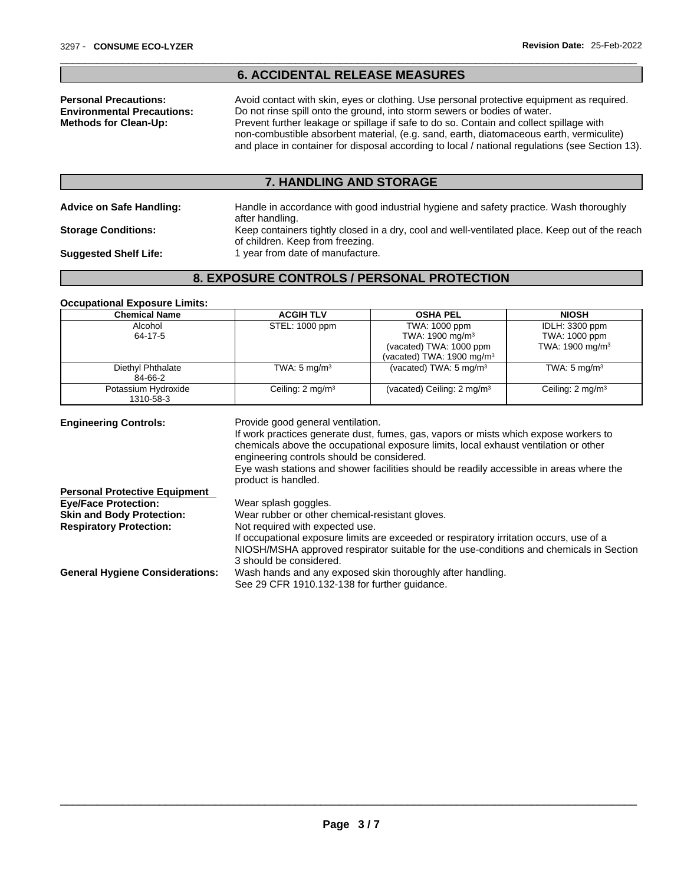#### **6. ACCIDENTAL RELEASE MEASURES**

**Personal Precautions:** Avoid contact with skin, eyes or clothing. Use personal protective equipment as required.<br>**Environmental Precautions:** Do not rinse spill onto the ground, into storm sewers or bodies of water. Do not rinse spill onto the ground, into storm sewers or bodies of water. **Methods for Clean-Up:** Prevent further leakage or spillage if safe to do so. Contain and collect spillage with non-combustible absorbent material, (e.g. sand, earth, diatomaceous earth, vermiculite) and place in container for disposal according to local / national regulations (see Section 13).

#### **7. HANDLING AND STORAGE**

**Advice on Safe Handling:** Handle in accordance with good industrial hygiene and safety practice. Wash thoroughly

after handling. **Storage Conditions:** Keep containers tightly closed in a dry, cool and well-ventilated place. Keep out of the reach of children. Keep from freezing.

**Suggested Shelf Life:** 1 year from date of manufacture.

# **8. EXPOSURE CONTROLS / PERSONAL PROTECTION**

#### **Occupational Exposure Limits:**

| <b>Chemical Name</b>         | <b>ACGIH TLV</b>            | <b>OSHA PEL</b>                        | <b>NIOSH</b>                |
|------------------------------|-----------------------------|----------------------------------------|-----------------------------|
| Alcohol                      | STEL: 1000 ppm              | TWA: 1000 ppm                          | IDLH: 3300 ppm              |
| 64-17-5                      |                             | TWA: 1900 mg/m <sup>3</sup>            | TWA: 1000 ppm               |
|                              |                             | (vacated) TWA: 1000 ppm                | TWA: 1900 mg/m <sup>3</sup> |
|                              |                             | (vacated) TWA: 1900 mg/m $3$           |                             |
| Diethyl Phthalate<br>84-66-2 | TWA: $5 \text{ mg/m}^3$     | (vacated) TWA: $5 \text{ mg/m}^3$      | TWA: $5 \text{ mg/m}^3$     |
| Potassium Hydroxide          | Ceiling: $2 \text{ mg/m}^3$ | (vacated) Ceiling: 2 mg/m <sup>3</sup> | Ceiling: $2 \text{ mg/m}^3$ |
| 1310-58-3                    |                             |                                        |                             |

**Engineering Controls:** Provide good general ventilation. If work practices generate dust, fumes, gas, vapors or mists which expose workers to chemicals above the occupational exposure limits, local exhaust ventilation or other engineering controls should be considered. Eye wash stations and shower facilities should be readily accessible in areas where the product is handled. **Eye/Face Protection:** Wear splash goggles. **Skin and Body Protection:** Wear rubber or other chemical-resistant gloves. **Respiratory Protection:** Not required with expected use. If occupational exposure limits are exceeded or respiratory irritation occurs, use of a NIOSH/MSHA approved respirator suitable for the use-conditions and chemicals in Section 3 should be considered.

**General Hygiene Considerations:** Wash hands and any exposed skin thoroughly after handling.

**Personal Protective Equipment** 

See 29 CFR 1910.132-138 for further guidance.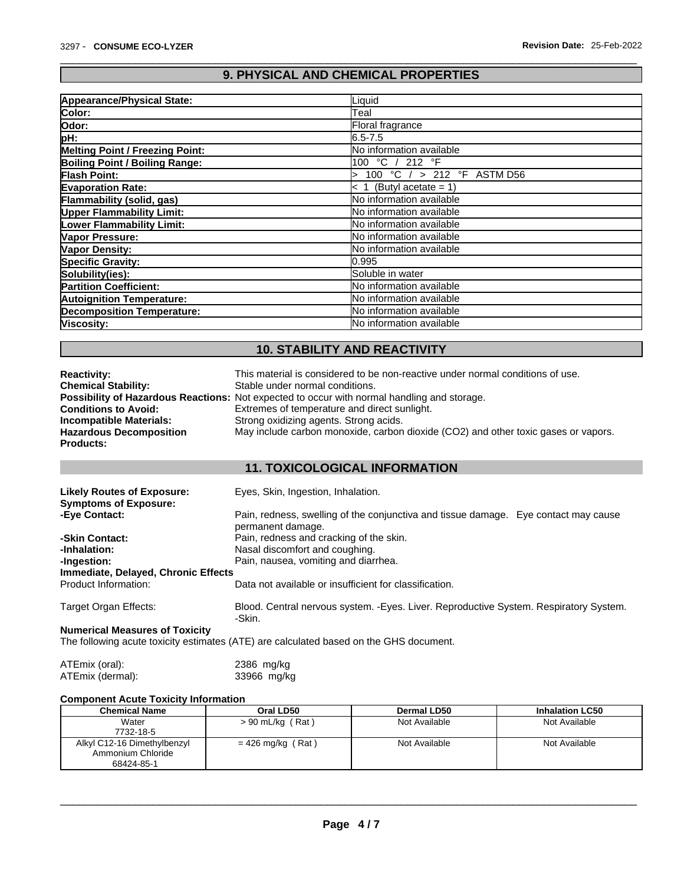# **9. PHYSICAL AND CHEMICAL PROPERTIES**

| Appearance/Physical State:             | Liquid                            |
|----------------------------------------|-----------------------------------|
| Color:                                 | Teal                              |
| <b>Odor:</b>                           | Floral fragrance                  |
| pH:                                    | 16.5-7.5                          |
| <b>Melting Point / Freezing Point:</b> | No information available          |
| Boiling Point / Boiling Range:         | 100 °C / 212 °F                   |
| Flash Point:                           | 100 °C $/$ > 212 °F ASTM D56      |
| <b>Evaporation Rate:</b>               | (Butyl acetate = $1$ )<br>$\,<\,$ |
| Flammability (solid, gas)              | <b>No information available</b>   |
| <b>Upper Flammability Limit:</b>       | <b>INo information available</b>  |
| <b>Lower Flammability Limit:</b>       | No information available          |
| Vapor Pressure:                        | <b>No information available</b>   |
| Vapor Density:                         | <b>INo information available</b>  |
| <b>Specific Gravity:</b>               | 10.995                            |
| Solubility(ies):                       | Soluble in water                  |
| <b>Partition Coefficient:</b>          | No information available          |
| <b>Autoignition Temperature:</b>       | No information available          |
| <b>Decomposition Temperature:</b>      | <b>No information available</b>   |
| Viscosity:                             | <b>INo information available</b>  |

# **10. STABILITY AND REACTIVITY**

| <b>Reactivity:</b>             | This material is considered to be non-reactive under normal conditions of use.                     |
|--------------------------------|----------------------------------------------------------------------------------------------------|
| <b>Chemical Stability:</b>     | Stable under normal conditions.                                                                    |
|                                | <b>Possibility of Hazardous Reactions:</b> Not expected to occur with normal handling and storage. |
| <b>Conditions to Avoid:</b>    | Extremes of temperature and direct sunlight.                                                       |
| <b>Incompatible Materials:</b> | Strong oxidizing agents. Strong acids.                                                             |
| <b>Hazardous Decomposition</b> | May include carbon monoxide, carbon dioxide (CO2) and other toxic gases or vapors.                 |
| <b>Products:</b>               |                                                                                                    |

# **11. TOXICOLOGICAL INFORMATION**

| <b>Likely Routes of Exposure:</b><br><b>Symptoms of Exposure:</b> | Eyes, Skin, Ingestion, Inhalation.                                                                       |
|-------------------------------------------------------------------|----------------------------------------------------------------------------------------------------------|
| -Eye Contact:                                                     | Pain, redness, swelling of the conjunctiva and tissue damage. Eye contact may cause<br>permanent damage. |
| -Skin Contact:                                                    | Pain, redness and cracking of the skin.                                                                  |
| -Inhalation:                                                      | Nasal discomfort and coughing.                                                                           |
| -Ingestion:                                                       | Pain, nausea, vomiting and diarrhea.                                                                     |
| Immediate, Delayed, Chronic Effects                               |                                                                                                          |
| Product Information:                                              | Data not available or insufficient for classification.                                                   |
| Target Organ Effects:                                             | Blood. Central nervous system. - Eyes. Liver. Reproductive System. Respiratory System.<br>-Skin.         |
| <b>Numerical Measures of Toxicity</b>                             |                                                                                                          |
|                                                                   | The following acute toxicity estimates (ATE) are calculated based on the GHS document.                   |

| ATEmix (oral):   | $2386$ mg/kg |
|------------------|--------------|
| ATEmix (dermal): | 33966 mg/kg  |

## **Component Acute Toxicity Information**

| <b>Chemical Name</b>        | Oral LD50          | Dermal LD50   | <b>Inhalation LC50</b> |
|-----------------------------|--------------------|---------------|------------------------|
| Water                       | $> 90$ mL/kg (Rat) | Not Available | Not Available          |
| 7732-18-5                   |                    |               |                        |
| Alkyl C12-16 Dimethylbenzyl | = 426 mg/kg (Rat)  | Not Available | Not Available          |
| Ammonium Chloride           |                    |               |                        |
| 68424-85-1                  |                    |               |                        |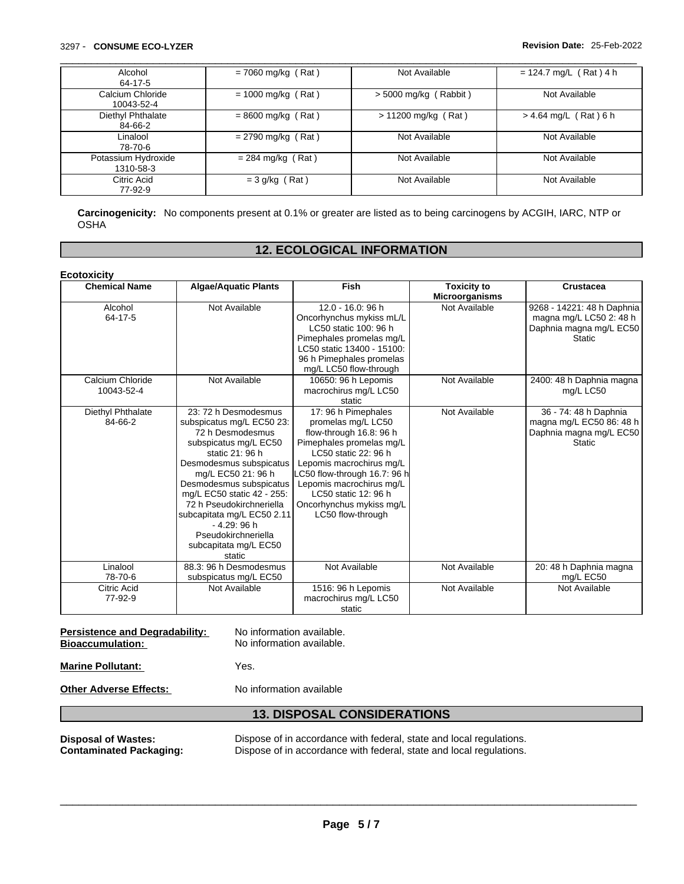# \_\_\_\_\_\_\_\_\_\_\_\_\_\_\_\_\_\_\_\_\_\_\_\_\_\_\_\_\_\_\_\_\_\_\_\_\_\_\_\_\_\_\_\_\_\_\_\_\_\_\_\_\_\_\_\_\_\_\_\_\_\_\_\_\_\_\_\_\_\_\_\_\_\_\_\_\_\_\_\_\_\_\_\_\_\_\_\_\_\_\_\_\_ 3297 - **CONSUME ECO-LYZER Revision Date:** 25-Feb-2022

| Alcohol<br>64-17-5               | $= 7060$ mg/kg (Rat) | Not Available           | $= 124.7$ mg/L (Rat) 4 h |
|----------------------------------|----------------------|-------------------------|--------------------------|
| Calcium Chloride<br>10043-52-4   | $= 1000$ mg/kg (Rat) | $>$ 5000 mg/kg (Rabbit) | Not Available            |
| Diethyl Phthalate<br>84-66-2     | $= 8600$ mg/kg (Rat) | $> 11200$ mg/kg (Rat)   | $> 4.64$ mg/L (Rat) 6 h  |
| Linalool<br>78-70-6              | $= 2790$ mg/kg (Rat) | Not Available           | Not Available            |
| Potassium Hydroxide<br>1310-58-3 | $= 284$ mg/kg (Rat)  | Not Available           | Not Available            |
| Citric Acid<br>77-92-9           | $=$ 3 g/kg (Rat)     | Not Available           | Not Available            |

**Carcinogenicity:** No components present at 0.1% or greater arelisted as to being carcinogens by ACGIH, IARC, NTP or OSHA

#### **12. ECOLOGICAL INFORMATION**

| <b>Chemical Name</b>           | <b>Algae/Aquatic Plants</b>                                                                                                                                                                                                                                                                                                                                    | <b>Fish</b>                                                                                                                                                                                                                                                                              | <b>Toxicity to</b><br><b>Microorganisms</b> | Crustacea                                                                                         |
|--------------------------------|----------------------------------------------------------------------------------------------------------------------------------------------------------------------------------------------------------------------------------------------------------------------------------------------------------------------------------------------------------------|------------------------------------------------------------------------------------------------------------------------------------------------------------------------------------------------------------------------------------------------------------------------------------------|---------------------------------------------|---------------------------------------------------------------------------------------------------|
| Alcohol<br>64-17-5             | Not Available                                                                                                                                                                                                                                                                                                                                                  | $12.0 - 16.0$ : 96 h<br>Oncorhynchus mykiss mL/L<br>LC50 static 100: 96 h<br>Pimephales promelas mg/L<br>LC50 static 13400 - 15100:<br>96 h Pimephales promelas<br>mg/L LC50 flow-through                                                                                                | Not Available                               | 9268 - 14221: 48 h Daphnia<br>magna mg/L LC50 2: 48 h<br>Daphnia magna mg/L EC50<br><b>Static</b> |
| Calcium Chloride<br>10043-52-4 | Not Available                                                                                                                                                                                                                                                                                                                                                  | 10650: 96 h Lepomis<br>macrochirus mg/L LC50<br>static                                                                                                                                                                                                                                   | Not Available                               | 2400: 48 h Daphnia magna<br>mg/L LC50                                                             |
| Diethyl Phthalate<br>84-66-2   | 23: 72 h Desmodesmus<br>subspicatus mg/L EC50 23:<br>72 h Desmodesmus<br>subspicatus mg/L EC50<br>static 21: 96 h<br>Desmodesmus subspicatus<br>mg/L EC50 21: 96 h<br>Desmodesmus subspicatus<br>mg/L EC50 static 42 - 255:<br>72 h Pseudokirchneriella<br>subcapitata mg/L EC50 2.11<br>$-4.29:96h$<br>Pseudokirchneriella<br>subcapitata mg/L EC50<br>static | 17: 96 h Pimephales<br>promelas mg/L LC50<br>flow-through 16.8: 96 h<br>Pimephales promelas mg/L<br>LC50 static 22: 96 h<br>Lepomis macrochirus mg/L<br>C50 flow-through 16.7: 96 h<br>Lepomis macrochirus mg/L<br>LC50 static 12: 96 h<br>Oncorhynchus mykiss mg/L<br>LC50 flow-through | Not Available                               | 36 - 74: 48 h Daphnia<br>magna mg/L EC50 86: 48 h<br>Daphnia magna mg/L EC50<br><b>Static</b>     |
| Linalool<br>78-70-6            | 88.3: 96 h Desmodesmus<br>subspicatus mg/L EC50                                                                                                                                                                                                                                                                                                                | Not Available                                                                                                                                                                                                                                                                            | Not Available                               | 20: 48 h Daphnia magna<br>mg/L EC50                                                               |
| <b>Citric Acid</b><br>77-92-9  | Not Available                                                                                                                                                                                                                                                                                                                                                  | 1516: 96 h Lepomis<br>macrochirus mg/L LC50<br>static                                                                                                                                                                                                                                    | Not Available                               | Not Available                                                                                     |

# **Persistence and Degradability:** No information available.<br> **Bioaccumulation:** No information available.

No information available.

**Marine Pollutant:** Yes.

**Other Adverse Effects:** No information available

## **13. DISPOSAL CONSIDERATIONS**

**Disposal of Wastes:** Dispose of in accordance with federal, state and local regulations.<br> **Contaminated Packaging:** Dispose of in accordance with federal, state and local regulations. Dispose of in accordance with federal, state and local regulations.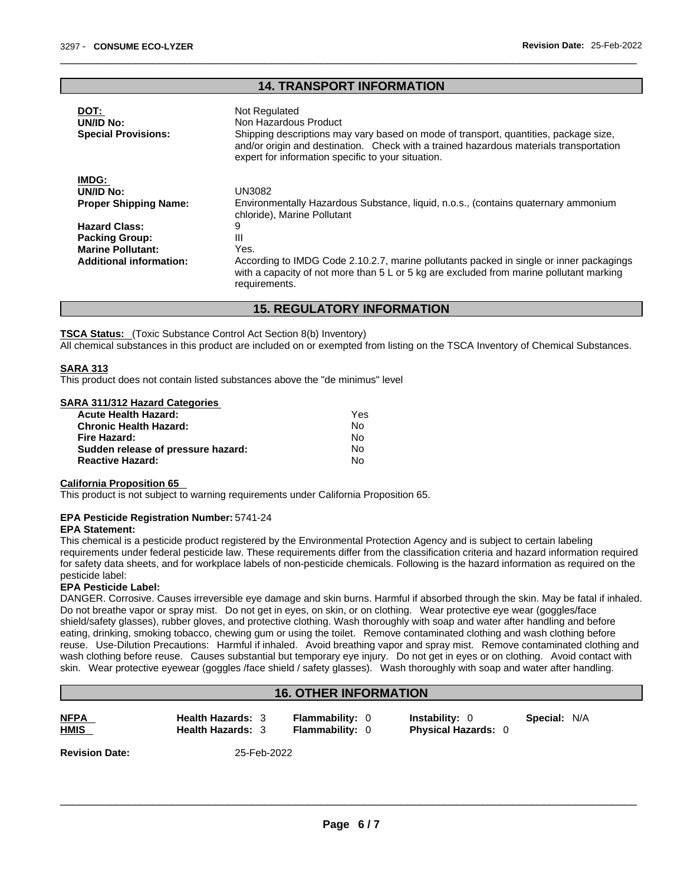#### **14. TRANSPORT INFORMATION**

| DOT:                           | Not Regulated                                                                                                                                                                                                                        |  |
|--------------------------------|--------------------------------------------------------------------------------------------------------------------------------------------------------------------------------------------------------------------------------------|--|
| UN/ID No:                      | Non Hazardous Product                                                                                                                                                                                                                |  |
| <b>Special Provisions:</b>     | Shipping descriptions may vary based on mode of transport, quantities, package size,<br>and/or origin and destination. Check with a trained hazardous materials transportation<br>expert for information specific to your situation. |  |
| <b>IMDG:</b>                   |                                                                                                                                                                                                                                      |  |
| UN/ID No:                      | <b>UN3082</b>                                                                                                                                                                                                                        |  |
| <b>Proper Shipping Name:</b>   | Environmentally Hazardous Substance, liquid, n.o.s., (contains quaternary ammonium<br>chloride), Marine Pollutant                                                                                                                    |  |
| <b>Hazard Class:</b>           | 9                                                                                                                                                                                                                                    |  |
| <b>Packing Group:</b>          | Ш                                                                                                                                                                                                                                    |  |
| <b>Marine Pollutant:</b>       | Yes.                                                                                                                                                                                                                                 |  |
| <b>Additional information:</b> | According to IMDG Code 2.10.2.7, marine pollutants packed in single or inner packagings<br>with a capacity of not more than $5 \text{ L}$ or $5 \text{ kg}$ are excluded from marine pollutant marking<br>requirements.              |  |
|                                |                                                                                                                                                                                                                                      |  |

## **15. REGULATORY INFORMATION**

**TSCA Status:** (Toxic Substance Control Act Section 8(b) Inventory)

All chemical substances in this product are included on or exempted from listing on the TSCA Inventory of Chemical Substances.

#### **SARA 313**

This product does not contain listed substances above the "de minimus" level

| <b>SARA 311/312 Hazard Categories</b> |  |
|---------------------------------------|--|
|                                       |  |

| <b>Acute Health Hazard:</b>        | Yes |
|------------------------------------|-----|
| <b>Chronic Health Hazard:</b>      | No. |
| Fire Hazard:                       | No. |
| Sudden release of pressure hazard: | No  |
| <b>Reactive Hazard:</b>            | N٥  |

#### **California Proposition 65**

This product is not subject to warning requirements under California Proposition 65.

#### **EPA Pesticide Registration Number:** 5741-24

#### **EPA Statement:**

This chemical is a pesticide product registered by the Environmental Protection Agency and is subject to certain labeling requirements under federal pesticide law. These requirements differ from the classification criteria and hazard information required for safety data sheets, and for workplace labels of non-pesticide chemicals. Following is the hazard information as required on the pesticide label:

#### **EPA Pesticide Label:**

DANGER. Corrosive. Causes irreversible eye damage and skin burns. Harmful if absorbed through the skin. May be fatal if inhaled. Do not breathe vapor or spray mist. Do not get in eyes, on skin, or on clothing. Wear protective eye wear (goggles/face shield/safety glasses), rubber gloves, and protective clothing. Wash thoroughly with soap and water after handling and before eating, drinking, smoking tobacco, chewing gum or using the toilet. Remove contaminated clothing and wash clothing before reuse. Use-Dilution Precautions: Harmful if inhaled. Avoid breathing vapor and spray mist. Remove contaminated clothing and wash clothing before reuse. Causes substantial but temporary eye injury. Do not get in eyes or on clothing. Avoid contact with skin. Wear protective eyewear (goggles /face shield / safety glasses). Wash thoroughly with soap and water after handling.

### **16. OTHER INFORMATION**

| <b>NFPA</b><br>______ | <b>Health Hazards: 3</b> | <b>Flammability: 0</b> | <b>Instability: 0</b>    | <b>Special: N/A</b> |
|-----------------------|--------------------------|------------------------|--------------------------|---------------------|
| <u>HMIS</u>           | <b>Health Hazards:</b>   | <b>Flammability:</b>   | <b>Physical Hazards:</b> |                     |
|                       |                          |                        |                          |                     |

**HMIS Health Hazards:** 3 **Flammability:** 0 **Physical Hazards:** 0

**Revision Date:** 25-Feb-2022